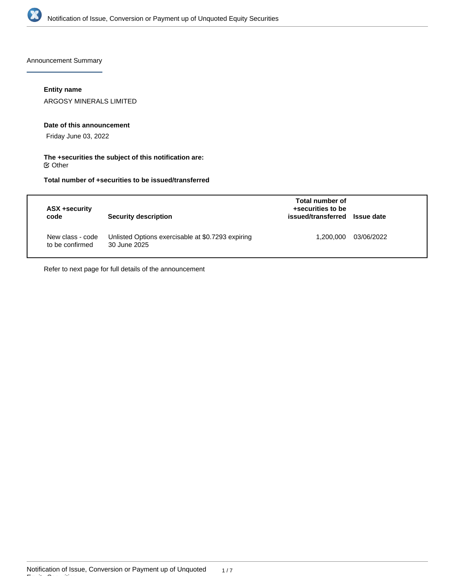

Announcement Summary

## **Entity name**

ARGOSY MINERALS LIMITED

### **Date of this announcement**

Friday June 03, 2022

## **The +securities the subject of this notification are:**  $\mathfrak S$  Other

# **Total number of +securities to be issued/transferred**

| ASX +security<br>code               | <b>Security description</b>                                       | Total number of<br>+securities to be<br>issued/transferred Issue date |            |
|-------------------------------------|-------------------------------------------------------------------|-----------------------------------------------------------------------|------------|
| New class - code<br>to be confirmed | Unlisted Options exercisable at \$0.7293 expiring<br>30 June 2025 | 1,200,000                                                             | 03/06/2022 |

Refer to next page for full details of the announcement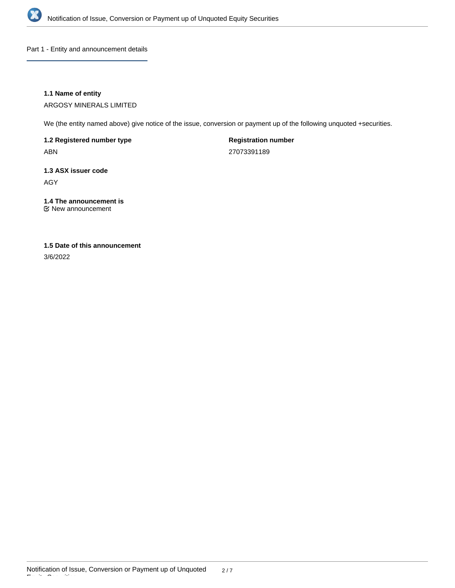

Part 1 - Entity and announcement details

## **1.1 Name of entity**

ARGOSY MINERALS LIMITED

We (the entity named above) give notice of the issue, conversion or payment up of the following unquoted +securities.

**1.2 Registered number type** ABN

**Registration number** 27073391189

**1.3 ASX issuer code** AGY

**1.4 The announcement is** New announcement

# **1.5 Date of this announcement**

3/6/2022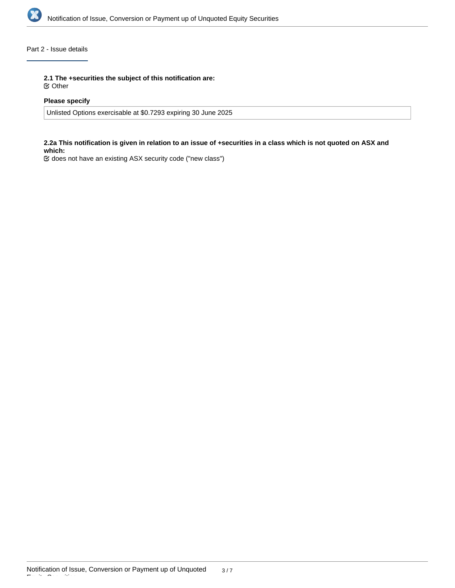

## Part 2 - Issue details

**2.1 The +securities the subject of this notification are:**

Other

## **Please specify**

Unlisted Options exercisable at \$0.7293 expiring 30 June 2025

## **2.2a This notification is given in relation to an issue of +securities in a class which is not quoted on ASX and which:**

does not have an existing ASX security code ("new class")

Equity Securities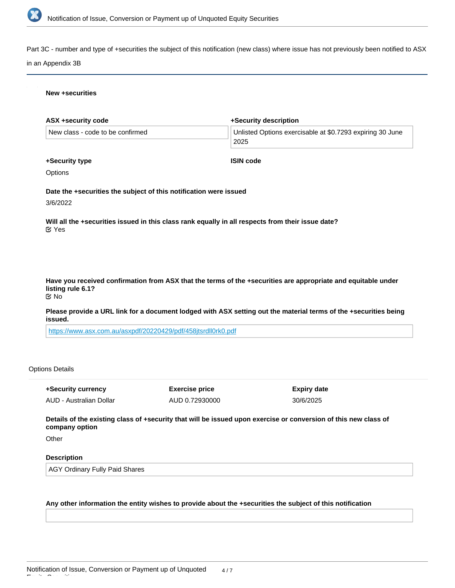

Part 3C - number and type of +securities the subject of this notification (new class) where issue has not previously been notified to ASX

### in an Appendix 3B

#### **New +securities**

| ASX +security code                                                                                                                                      | +Security description                                             |  |  |  |
|---------------------------------------------------------------------------------------------------------------------------------------------------------|-------------------------------------------------------------------|--|--|--|
| New class - code to be confirmed                                                                                                                        | Unlisted Options exercisable at \$0.7293 expiring 30 June<br>2025 |  |  |  |
| +Security type                                                                                                                                          | <b>ISIN code</b>                                                  |  |  |  |
| Options                                                                                                                                                 |                                                                   |  |  |  |
| Date the +securities the subject of this notification were issued<br>3/6/2022                                                                           |                                                                   |  |  |  |
| Will all the +securities issued in this class rank equally in all respects from their issue date?<br>$\alpha$ Yes                                       |                                                                   |  |  |  |
|                                                                                                                                                         |                                                                   |  |  |  |
| Have you received confirmation from ASX that the terms of the +securities are appropriate and equitable under<br>listing rule 6.1?<br>$\mathfrak{C}$ No |                                                                   |  |  |  |
| Please provide a URL link for a document lodged with ASX setting out the material terms of the +securities being<br>issued.                             |                                                                   |  |  |  |
| https://www.asx.com.au/asxpdf/20220429/pdf/458jtsrdll0rk0.pdf                                                                                           |                                                                   |  |  |  |

### Options Details

**+Security currency** AUD - Australian Dollar **Exercise price** AUD 0.72930000 **Expiry date** 30/6/2025

**Details of the existing class of +security that will be issued upon exercise or conversion of this new class of company option**

**Other** 

Equity Securities

## **Description**

AGY Ordinary Fully Paid Shares

## **Any other information the entity wishes to provide about the +securities the subject of this notification**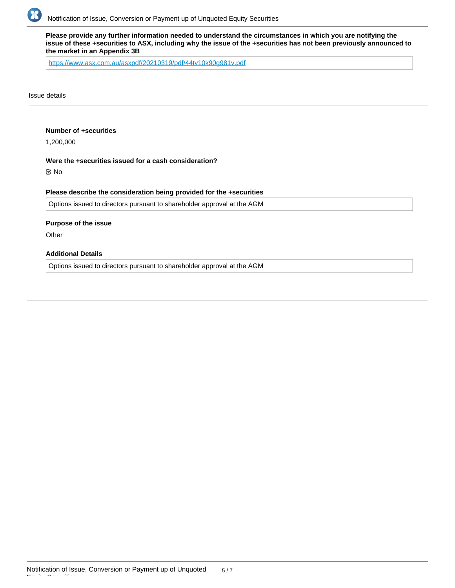

**Please provide any further information needed to understand the circumstances in which you are notifying the issue of these +securities to ASX, including why the issue of the +securities has not been previously announced to the market in an Appendix 3B**

<https://www.asx.com.au/asxpdf/20210319/pdf/44tv10k90g981v.pdf>

Issue details

### **Number of +securities**

1,200,000

### **Were the +securities issued for a cash consideration?**

No

### **Please describe the consideration being provided for the +securities**

Options issued to directors pursuant to shareholder approval at the AGM

#### **Purpose of the issue**

**Other** 

Equity Securities

## **Additional Details**

Options issued to directors pursuant to shareholder approval at the AGM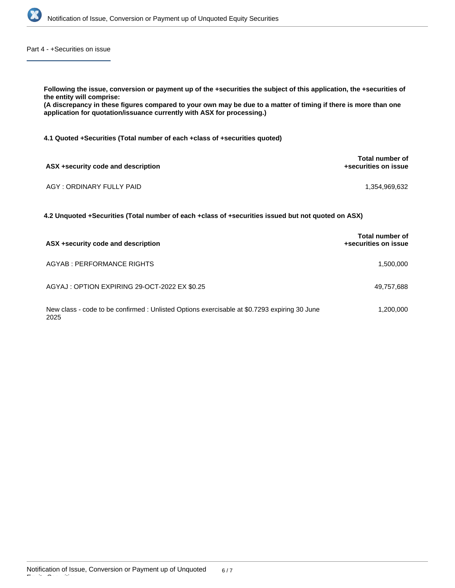

Part 4 - +Securities on issue

| Following the issue, conversion or payment up of the +securities the subject of this application, the +securities of<br>the entity will comprise:<br>(A discrepancy in these figures compared to your own may be due to a matter of timing if there is more than one<br>application for quotation/issuance currently with ASX for processing.) |                                         |  |  |  |
|------------------------------------------------------------------------------------------------------------------------------------------------------------------------------------------------------------------------------------------------------------------------------------------------------------------------------------------------|-----------------------------------------|--|--|--|
| 4.1 Quoted +Securities (Total number of each +class of +securities quoted)                                                                                                                                                                                                                                                                     |                                         |  |  |  |
| ASX +security code and description                                                                                                                                                                                                                                                                                                             | Total number of<br>+securities on issue |  |  |  |
| AGY: ORDINARY FULLY PAID                                                                                                                                                                                                                                                                                                                       | 1.354.969.632                           |  |  |  |
| 4.2 Unquoted +Securities (Total number of each +class of +securities issued but not quoted on ASX)                                                                                                                                                                                                                                             |                                         |  |  |  |
| ACV . security sade and description                                                                                                                                                                                                                                                                                                            | Total number of                         |  |  |  |

| ASX +security code and description                                                                   | +securities on issue |
|------------------------------------------------------------------------------------------------------|----------------------|
| AGYAB : PERFORMANCE RIGHTS                                                                           | 1,500,000            |
| AGYAJ: OPTION EXPIRING 29-OCT-2022 EX \$0.25                                                         | 49,757,688           |
| New class - code to be confirmed : Unlisted Options exercisable at \$0.7293 expiring 30 June<br>2025 | 1,200,000            |

Equity Securities